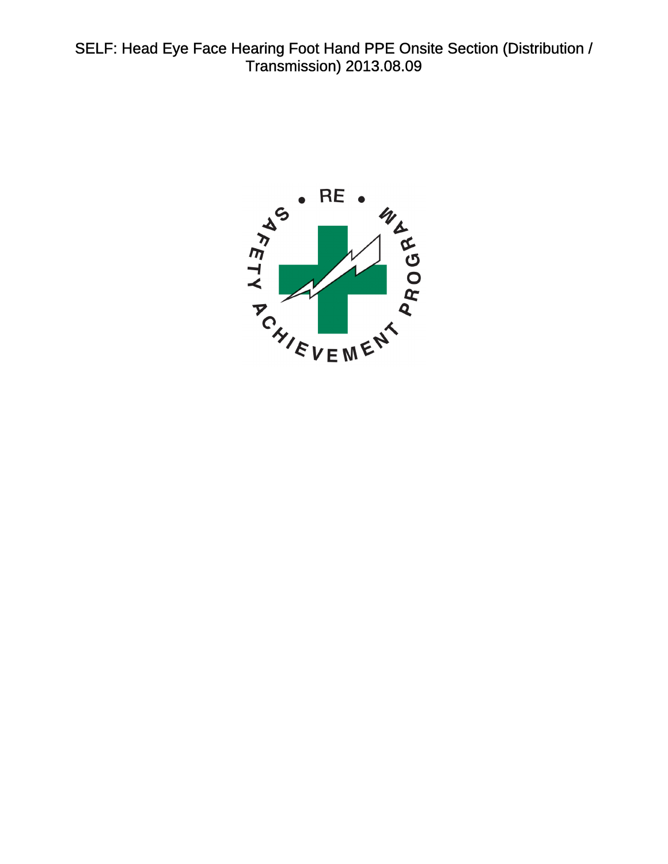<span id="page-0-0"></span>SELF: Head Eye Face Hearing Foot Hand PPE Onsite Section (Distribution / Transmission) 2013.08.09

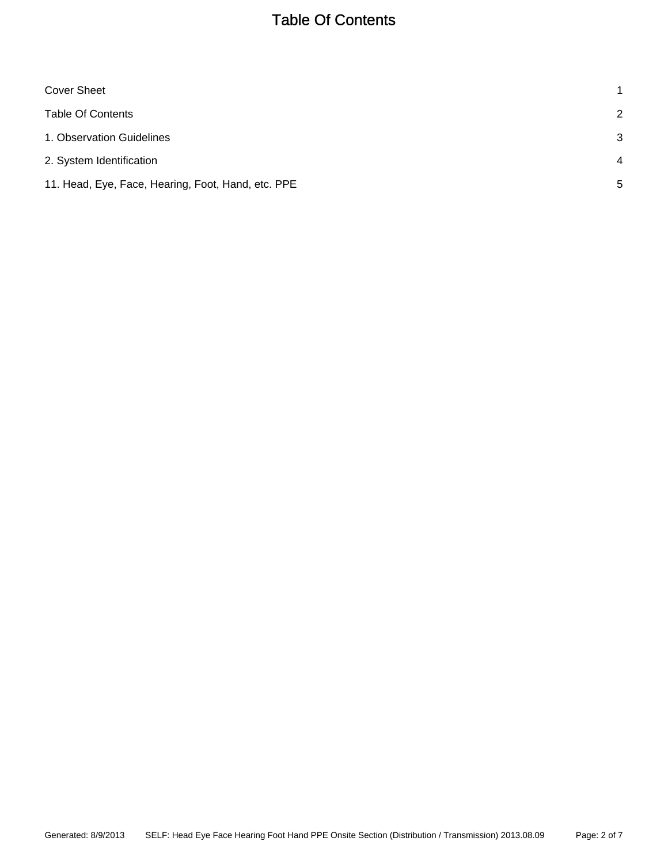# Table Of Contents

<span id="page-1-0"></span>

| 1              |
|----------------|
| 2              |
| 3              |
| $\overline{4}$ |
| 5              |
|                |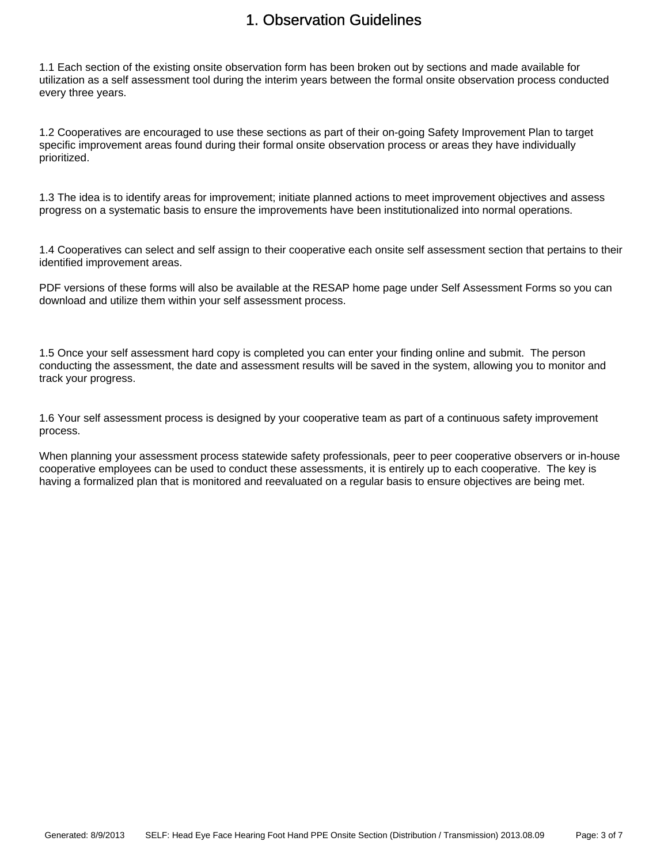### 1. Observation Guidelines

<span id="page-2-0"></span>1.1 Each section of the existing onsite observation form has been broken out by sections and made available for utilization as a self assessment tool during the interim years between the formal onsite observation process conducted every three years.

1.2 Cooperatives are encouraged to use these sections as part of their on-going Safety Improvement Plan to target specific improvement areas found during their formal onsite observation process or areas they have individually prioritized.

1.3 The idea is to identify areas for improvement; initiate planned actions to meet improvement objectives and assess progress on a systematic basis to ensure the improvements have been institutionalized into normal operations.

1.4 Cooperatives can select and self assign to their cooperative each onsite self assessment section that pertains to their identified improvement areas.

PDF versions of these forms will also be available at the RESAP home page under Self Assessment Forms so you can download and utilize them within your self assessment process.

1.5 Once your self assessment hard copy is completed you can enter your finding online and submit. The person conducting the assessment, the date and assessment results will be saved in the system, allowing you to monitor and track your progress.

1.6 Your self assessment process is designed by your cooperative team as part of a continuous safety improvement process.

When planning your assessment process statewide safety professionals, peer to peer cooperative observers or in-house cooperative employees can be used to conduct these assessments, it is entirely up to each cooperative. The key is having a formalized plan that is monitored and reevaluated on a regular basis to ensure objectives are being met.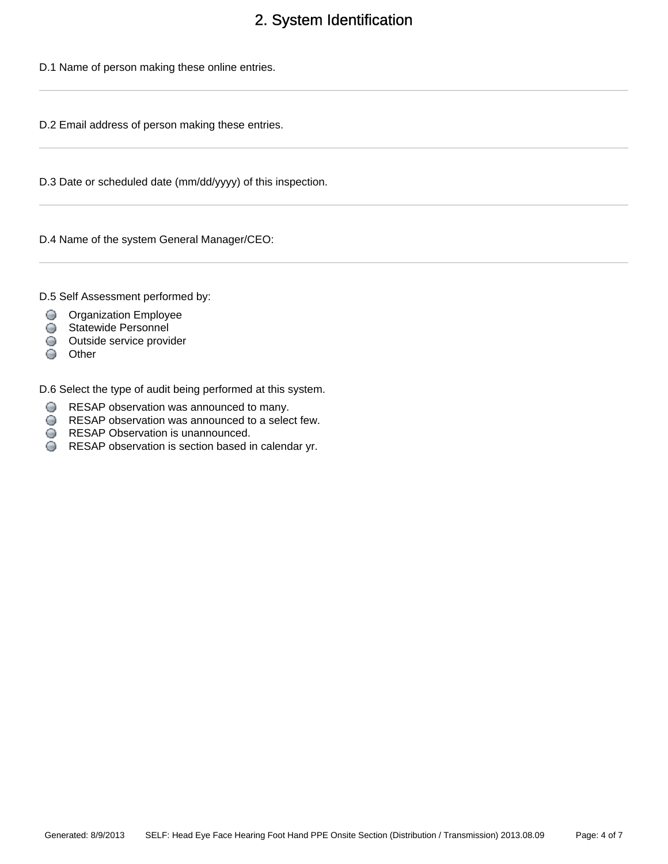## 2. System Identification

<span id="page-3-0"></span>D.1 Name of person making these online entries.

D.2 Email address of person making these entries.

D.3 Date or scheduled date (mm/dd/yyyy) of this inspection.

D.4 Name of the system General Manager/CEO:

D.5 Self Assessment performed by:

- **O** Organization Employee
- Statewide Personnel
- Outside service provider
- Other

D.6 Select the type of audit being performed at this system.

- RESAP observation was announced to many.
- RESAP observation was announced to a select few.
- **RESAP Observation is unannounced.**
- RESAP observation is section based in calendar yr.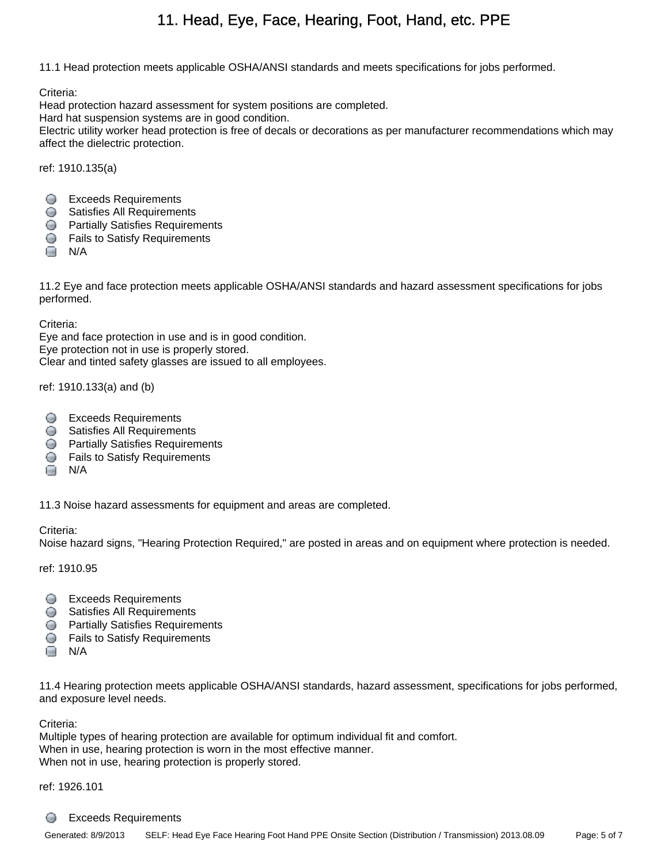# 11. Head, Eye, Face, Hearing, Foot, Hand, etc. PPE

<span id="page-4-0"></span>11.1 Head protection meets applicable OSHA/ANSI standards and meets specifications for jobs performed.

Criteria:

Head protection hazard assessment for system positions are completed.

Hard hat suspension systems are in good condition.

Electric utility worker head protection is free of decals or decorations as per manufacturer recommendations which may affect the dielectric protection.

ref: 1910.135(a)

- Exceeds Requirements
- Satisfies All Requirements
- **Partially Satisfies Requirements**
- **S** Fails to Satisfy Requirements
- **□** N/A

11.2 Eye and face protection meets applicable OSHA/ANSI standards and hazard assessment specifications for jobs performed.

Criteria:

Eye and face protection in use and is in good condition. Eye protection not in use is properly stored. Clear and tinted safety glasses are issued to all employees.

ref: 1910.133(a) and (b)

- **Exceeds Requirements**
- **Satisfies All Requirements**
- **Partially Satisfies Requirements**
- **C** Fails to Satisfy Requirements
- $\Box$  N/A

11.3 Noise hazard assessments for equipment and areas are completed.

### Criteria:

Noise hazard signs, "Hearing Protection Required," are posted in areas and on equipment where protection is needed.

ref: 1910.95

- **Exceeds Requirements**
- **Satisfies All Requirements**
- **Partially Satisfies Requirements**
- **S** Fails to Satisfy Requirements
- $\Box$  N/A

11.4 Hearing protection meets applicable OSHA/ANSI standards, hazard assessment, specifications for jobs performed, and exposure level needs.

Criteria:

Multiple types of hearing protection are available for optimum individual fit and comfort. When in use, hearing protection is worn in the most effective manner. When not in use, hearing protection is properly stored.

ref: 1926.101

#### ∩ Exceeds Requirements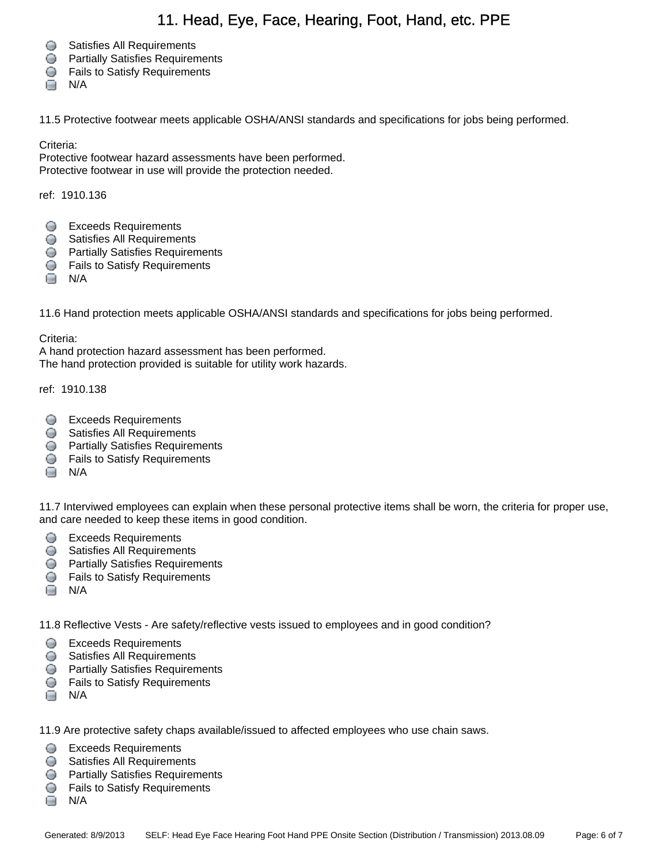### 11. Head, Eye, Face, Hearing, Foot, Hand, etc. PPE

- **Satisfies All Requirements**
- **Partially Satisfies Requirements**
- **S** Fails to Satisfy Requirements
- $\Box$  N/A

11.5 Protective footwear meets applicable OSHA/ANSI standards and specifications for jobs being performed.

Criteria:

Protective footwear hazard assessments have been performed. Protective footwear in use will provide the protection needed.

ref: 1910.136

- **Exceeds Requirements**
- **Satisfies All Requirements**
- **C** Partially Satisfies Requirements
- **S** Fails to Satisfy Requirements
- $\Box$  N/A

11.6 Hand protection meets applicable OSHA/ANSI standards and specifications for jobs being performed.

Criteria:

A hand protection hazard assessment has been performed. The hand protection provided is suitable for utility work hazards.

ref: 1910.138

- **Exceeds Requirements**
- **Satisfies All Requirements**
- **Partially Satisfies Requirements**
- **G** Fails to Satisfy Requirements
- $\Box$  N/A

11.7 Interviwed employees can explain when these personal protective items shall be worn, the criteria for proper use, and care needed to keep these items in good condition.

- Exceeds Requirements
- **Satisfies All Requirements**
- **Partially Satisfies Requirements**
- **S** Fails to Satisfy Requirements
- $\Box$  N/A

11.8 Reflective Vests - Are safety/reflective vests issued to employees and in good condition?

- **Exceeds Requirements**
- **Satisfies All Requirements**
- **Partially Satisfies Requirements**
- **S** Fails to Satisfy Requirements
- $\Box$  N/A

11.9 Are protective safety chaps available/issued to affected employees who use chain saws.

- Exceeds Requirements
- **Satisfies All Requirements**
- **C** Partially Satisfies Requirements
- **S** Fails to Satisfy Requirements
- $\Box$  N/A